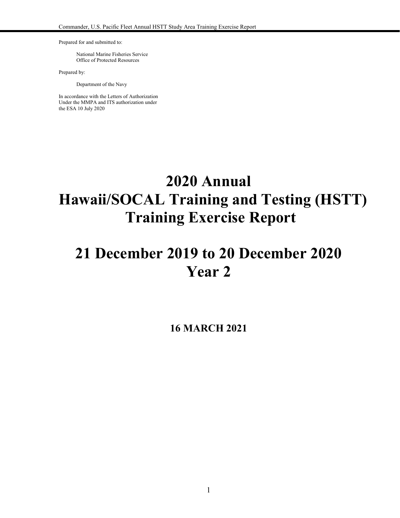Prepared for and submitted to:

National Marine Fisheries Service Office of Protected Resources

Prepared by:

Department of the Navy

In accordance with the Letters of Authorization Under the MMPA and ITS authorization under the ESA 10 July 2020

# **2020 Annual Hawaii/SOCAL Training and Testing (HSTT) Training Exercise Report**

# **21 December 2019 to 20 December 2020 Year 2**

**16 MARCH 2021**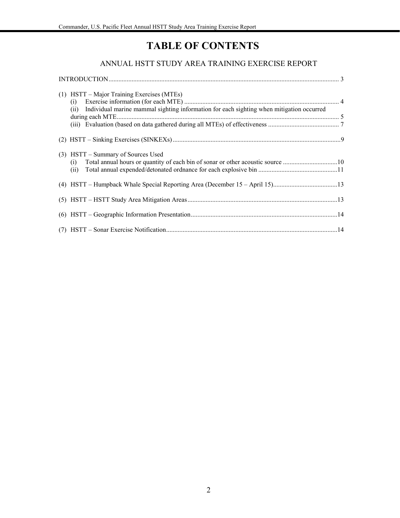# **TABLE OF CONTENTS**

### ANNUAL HSTT STUDY AREA TRAINING EXERCISE REPORT

| (1) HSTT – Major Training Exercises (MTEs)<br>(ii) Individual marine mammal sighting information for each sighting when mitigation occurred |  |
|---------------------------------------------------------------------------------------------------------------------------------------------|--|
|                                                                                                                                             |  |
| (3) HSTT – Summary of Sources Used                                                                                                          |  |
| (4) HSTT - Humpback Whale Special Reporting Area (December 15 - April 15)13                                                                 |  |
|                                                                                                                                             |  |
|                                                                                                                                             |  |
|                                                                                                                                             |  |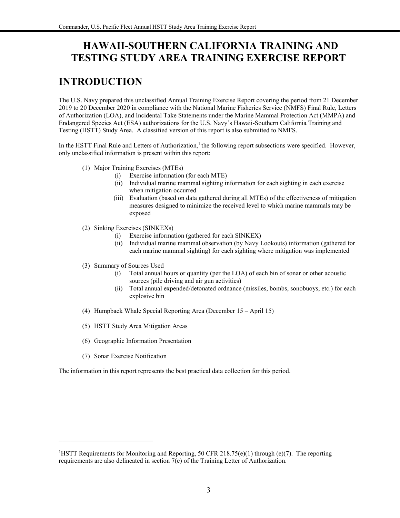## **HAWAII-SOUTHERN CALIFORNIA TRAINING AND TESTING STUDY AREA TRAINING EXERCISE REPORT**

# **INTRODUCTION**

The U.S. Navy prepared this unclassified Annual Training Exercise Report covering the period from 21 December 2019 to 20 December 2020 in compliance with the National Marine Fisheries Service (NMFS) Final Rule, Letters of Authorization (LOA), and Incidental Take Statements under the Marine Mammal Protection Act (MMPA) and Endangered Species Act (ESA) authorizations for the U.S. Navy's Hawaii-Southern California Training and Testing (HSTT) Study Area. A classified version of this report is also submitted to NMFS.

In the HSTT Final Rule and Letters of Authorization,<sup>1</sup> the following report subsections were specified. However, only unclassified information is present within this report:

- (1) Major Training Exercises (MTEs)
	- (i) Exercise information (for each MTE)
	- (ii) Individual marine mammal sighting information for each sighting in each exercise when mitigation occurred
	- (iii) Evaluation (based on data gathered during all MTEs) of the effectiveness of mitigation measures designed to minimize the received level to which marine mammals may be exposed
- (2) Sinking Exercises (SINKEXs)
	- (i) Exercise information (gathered for each SINKEX)
	- (ii) Individual marine mammal observation (by Navy Lookouts) information (gathered for each marine mammal sighting) for each sighting where mitigation was implemented
- (3) Summary of Sources Used
	- (i) Total annual hours or quantity (per the LOA) of each bin of sonar or other acoustic sources (pile driving and air gun activities)
	- (ii) Total annual expended/detonated ordnance (missiles, bombs, sonobuoys, etc.) for each explosive bin
- (4) Humpback Whale Special Reporting Area (December 15 April 15)
- (5) HSTT Study Area Mitigation Areas
- (6) Geographic Information Presentation
- (7) Sonar Exercise Notification

The information in this report represents the best practical data collection for this period.

<sup>&</sup>lt;sup>1</sup>HSTT Requirements for Monitoring and Reporting, 50 CFR 218.75(e)(1) through (e)(7). The reporting requirements are also delineated in section 7(e) of the Training Letter of Authorization.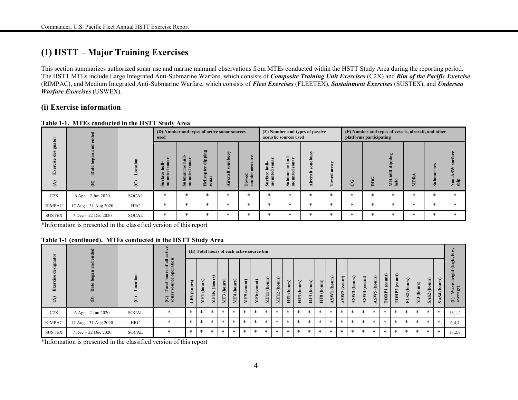### **(1) HSTT – Major Training Exercises**

This section summarizes authorized sonar use and marine mammal observations from MTEs conducted within the HSTT Study Area during the reporting period. The HSTT MTEs include Large Integrated Anti-Submarine Warfare, which consists of *Composite Training Unit Exercises* (C2X) and *Rim of the Pacific Exercise*  (RIMPAC), and Medium Integrated Anti-Submarine Warfare, which consists of *Fleet Exercises* (FLEETEX), *Sustainment Exercises* (SUSTEX), and *Undersea Warfare Exercises* (USWEX).

### **(i) Exercise information**

|                            | ಕ                                       |            | used                                 |                             | (D) Number and types of active sonar sources |                           |                                            |                                   | acoustic sources used                                                                     | (E) Number and types of passive |        | (F) Number and types of vessels, aircraft, and other<br>platforms participating |        |                                                    |         |                                    |             |
|----------------------------|-----------------------------------------|------------|--------------------------------------|-----------------------------|----------------------------------------------|---------------------------|--------------------------------------------|-----------------------------------|-------------------------------------------------------------------------------------------|---------------------------------|--------|---------------------------------------------------------------------------------|--------|----------------------------------------------------|---------|------------------------------------|-------------|
| -gi<br>점<br>$\mathfrak{S}$ | ది<br>$\mathbf{\widehat{e}}$            | $\odot$    | ₹.<br>ē<br>Е<br>$\overline{a}$<br>J. | $\overline{a}$<br>$\bar{a}$ | Ρã<br>Hei<br>$\sin$                          | Š<br>$\bullet$<br>÷<br>٠Ħ | æ<br>$\blacksquare$<br>Tow<br>$_{\rm cou}$ | 림 훘<br>٥<br>ු<br>ь<br>$S$ ur<br>ē | Ē<br>nar<br>$\overline{\mathbf{s}}$<br>.e<br>$\overline{\phantom{a}}$<br>Submar<br>mounte | È<br>ĉ<br>土<br>词                | ≻<br>⊨ | ت                                                                               | DDG    | 60<br>$\epsilon$<br>ъĒ.<br>흡<br>60R<br>NH.<br>helo | ≃<br>È. | $\overline{A}$<br>Sub <sub>1</sub> | Non<br>ship |
| C2X                        | $6$ Apr $- 2$ Jun 2020                  | SOCAL      | $\ast$                               | $\ast$                      | $\ast$                                       | $\ast$                    | $\ast$                                     | $\ast$                            | $\ast$                                                                                    | $\ast$                          | $\ast$ | $\ast$                                                                          | $\ast$ | $\ast$                                             | *       | $\ast$                             | $\ast$      |
| <b>RIMPAC</b>              | $17 \text{ Aug} - 31 \text{ Aug } 2020$ | <b>HRC</b> | $\ast$                               | $\ast$                      | $\ast$                                       | $\ast$                    | $\ast$                                     | $\ast$                            | *                                                                                         | $\ast$                          | $\ast$ | $\ast$                                                                          | $\ast$ | $\ast$                                             | *       | $\ast$                             | $\ast$      |
| <b>SUSTEX</b>              | 7 Dec - 22 Dec 2020                     | SOCAL      | $\ast$                               | $\ast$                      | $\ast$                                       | $\ast$                    | ∗                                          | $\ast$                            | *                                                                                         | $\ast$                          | $\ast$ | $\ast$                                                                          | *      | ∗                                                  | $\ast$  | $\ast$                             |             |

#### **Table 1-1. MTEs conducted in the HSTT Study Area**

\*Information is presented in the classified version of this report

#### **Table 1-1 (continued). MTEs conducted in the HSTT Study Area**

|                     | tive<br>$_{\rm{ded}}$       |                 |                                                                                  |                | (H) Total hours of each active source bin |                                   |                                                     |                    |                        |                                         |                                                     |                                                              |                                                     |                     |                     |                         |                           |                                          |                 |                                                               |                                   |                                                  |                                          |                 |                  |                                                   |             |                                                                      |
|---------------------|-----------------------------|-----------------|----------------------------------------------------------------------------------|----------------|-------------------------------------------|-----------------------------------|-----------------------------------------------------|--------------------|------------------------|-----------------------------------------|-----------------------------------------------------|--------------------------------------------------------------|-----------------------------------------------------|---------------------|---------------------|-------------------------|---------------------------|------------------------------------------|-----------------|---------------------------------------------------------------|-----------------------------------|--------------------------------------------------|------------------------------------------|-----------------|------------------|---------------------------------------------------|-------------|----------------------------------------------------------------------|
| 뎧<br>$\mathfrak{D}$ | 0<br>$\mathbf{\widehat{E}}$ | tion<br>$\odot$ | ation<br>픦<br>Έ<br>$\bullet$<br>$\bullet$<br>ota<br>$\overline{\text{S}}$<br>⊙ ë | (hours)<br>LF6 | rs)<br>Ξ<br>قع<br><b>MF1</b>              | urs)<br>ō<br>€<br>K<br><b>MF1</b> | $\tilde{\mathbf{s}}$<br>$\tilde{\mathbf{g}}$<br>MF3 | rs)<br>(hou<br>MF4 | (count)<br><b>MIF5</b> | $\mathbf{m}$<br>COLL<br>MF <sub>6</sub> | $\Omega$<br>$\bullet$<br>ف<br>$\blacksquare$<br>NF. | urs)<br>$\bar{\mathbf{e}}$<br>$\overline{\mathbf{c}}$<br>MF1 | $\hat{\mathbf{s}}$<br>(hour:<br>$\blacksquare$<br>曽 | rs)<br>(hou<br>HIF3 | r s)<br>(hou<br>HF4 | $\Omega$<br>(hou<br>HF8 | ours)<br>€<br><b>LASN</b> | $_{\rm (count)}$<br>$\sim$<br><b>ASW</b> | (hours)<br>ASW3 | $\widehat{\mathbf{H}}$<br>$\bullet$<br>ತಿ<br>$S_{\mathbf{W}}$ | rs)<br>Ξ<br>ē<br>€<br>5<br>$\sum$ | ount)<br>$\tilde{\boldsymbol{c}}$<br><b>TORP</b> | $_{\text{count}}$<br>ತಿ<br>$\sim$<br>ORP | (hours)<br>FLS2 | rs)<br>$M3$ (hor | urs)<br>$\bar{\mathbf{e}}$<br>S <sub>2</sub><br>ã | (hour;<br>Ø | (high,<br>height<br>$\bullet$<br>Wav<br>age)<br>$\mathbf{\tilde{e}}$ |
| C2X                 | $6$ Apr $- 2$ Jun 2020      | SOCAL           | $\ast$                                                                           | $\ast$         | $\ast$                                    | $\ast$                            | $\ast$                                              | $\ast$             | $\ast$                 | $\ast$                                  | $\ast$                                              | $\ast$                                                       | $\ast$                                              | $\ast$              | $\ast$              | $\ast$                  | $\ast$                    | $\ast$                                   | $\ast$          | $\ast$                                                        | $\ast$                            | $\ast$                                           | $\ast$                                   | $\ast$          | $\ast$           | $\ast$                                            | $\ast$      | 13,1,2                                                               |
| RIMPAC              | 17 Aug - 31 Aug 2020        | <b>HRC</b>      | $\ast$                                                                           | $\ast$         | $\ast$                                    | $\ast$                            | $\ast$                                              | $\ast$             | $\ast$                 | $\ast$                                  | $\ast$                                              | $\ast$                                                       | $\ast$                                              | $\ast$              | $\ast$              | $*$                     | $\ast$                    | $\ast$                                   | $\ast$          | $\ast$                                                        | $\ast$                            | $\ast$                                           | $\ast$                                   | $\ast$          | $\ast$           | $\ast$                                            | $\ast$      | 6,4,4                                                                |
| <b>SUSTEX</b>       | $7$ Dec $- 22$ Dec $2020$   | SOCAL           | $\ast$                                                                           | $\ast$         | $\ast$                                    | $\ast$                            | $\ast$                                              | $\ast$             | $\ast$                 | $\ast$                                  | $\ast$                                              | $\ast$                                                       | $\ast$                                              | $\ast$              | $\ast$              | $\ast$                  | $\ast$                    | $\ast$                                   | $\ast$          | $\ast$                                                        | $\ast$                            | *                                                | $\ast$                                   | $\ast$          | $\ast$           | $\ast$                                            | $\ast$      | 13,2,9                                                               |

\*Information is presented in the classified version of this report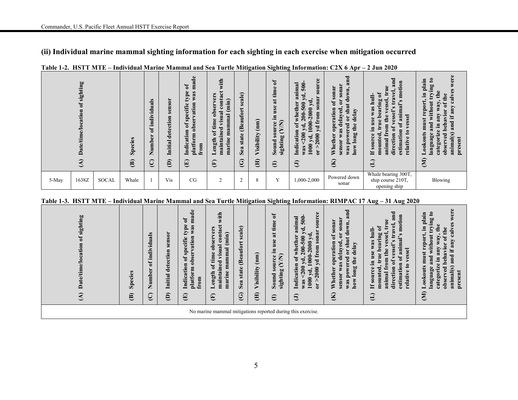### **(ii) Individual marine mammal sighting information for each sighting in each exercise when mitigation occurred**

|       | sighting<br>$\mathfrak{h}$<br>Έ<br>≏ |       | Species<br>$\mathbf{\widehat{E}}$ | viduals<br>'ਰ<br>트.<br>ัร<br>Φ<br>Numb<br>ପ୍ର | S <sub>O</sub> r<br>$\ddot{5}$<br>$\bullet$<br>detection<br>Initial<br>ê | ಕೆ<br>$\mathbf{m}$ a<br>ð<br>¢<br>was<br>ĎЧ,<br>vation<br>ಲ<br>ĠÉ<br>$\omega$<br>ė,<br>obser<br>ð<br>cation<br>platform<br>from<br>੶੩<br>ョ<br>囯 | with<br>ত<br>vers<br>$\overline{\mathbf{a}}$<br>$(\min)$<br>ser<br>$\bullet$<br>G<br>$\mathbf{e}$<br>ಡ<br>mammal<br>∍<br>time<br>$\overline{ }$<br>ರ<br>Œ<br>ð<br>$\blacksquare$<br>$-1$<br>marine<br>ength<br>$\mathbf{a}$<br>$\blacksquare$<br>$\overline{\mathbf{a}}$<br>톱<br>⊐<br>$\widehat{\mathbf{E}}$ | ale)<br>Ō<br><b>Beaufo</b><br>state<br>Sea<br>$\odot$ | (mm)<br>Visibility<br>$\oplus$ | ð<br>time<br>$\overline{\mathbf{a}}$<br>$\mathbf{e}$<br>Ξ.<br>ξ<br>$\omega$<br>$\mathbf{r}$<br>$\mathbf{S}$<br>ting<br>ರ<br>$\overline{5}$<br>sigh<br>$\boldsymbol{\omega}$<br>$\boldsymbol{\ominus}$ | rce<br>animal<br>500<br>50u<br>ರ<br>$n\mathbf{a}$<br>À<br>ether<br>500<br>$\ddot{\bullet}$<br>2000<br>ø<br>$\overline{5}$<br>200<br>≩<br>0<br>ā<br>$\tilde{\mathsf{e}}$<br>ರ<br>ट्र<br>$\overline{a}$<br>200<br>$\frac{1}{2}$<br>$\cdot$<br>Indicati<br>уq.<br>$\overline{\mathbf{C}}$<br>1000<br>$\bullet$<br>$\overline{M}$<br>$\overline{5}$<br>$\Theta$ | $\mathbf{F}$<br>na<br>sonar<br>$0$ WM<br>$\overline{\mathbf{s}}$<br>ರ<br>ð<br>$\bullet$<br>$\sin$<br>eration<br>$y$ ed<br>delay<br>$\mathbf{a}$<br>0<br>$\bullet$<br>ឨ<br>c<br>ê<br>€<br>$\omega$<br>G.<br>ಠ<br>рg<br>Whether<br>≩<br>$\overline{\mathbf{p}}$<br>≘<br><b>SOT</b><br>how<br>was<br>sen<br>$\mathfrak{D}$ | and<br>۹.<br>$\mathbf{a}$<br>Č<br>Ea<br>ಪ<br>ಕ<br>≏<br>S<br>$\overline{\mathbf{G}}$<br>rel<br>Ξ<br>$\mathbf{g}$<br>톱<br>≒<br>æ<br>Э | Œ<br>$\boldsymbol{\mathsf{s}}$<br>日.<br>pla<br>ng<br>۹e<br>Ξ<br>ë<br>۰<br>Ξ<br>c<br>ಠ<br>c<br>ଇ<br>Φ<br>yed<br>languag<br>$\breve{\mathbf{a}}$<br>present<br>ser<br>Ë.<br>$\overline{\epsilon}$<br>ë<br>$a$ n<br>ន<br>$\widehat{\mathbf{z}}$ |
|-------|--------------------------------------|-------|-----------------------------------|-----------------------------------------------|--------------------------------------------------------------------------|-------------------------------------------------------------------------------------------------------------------------------------------------|--------------------------------------------------------------------------------------------------------------------------------------------------------------------------------------------------------------------------------------------------------------------------------------------------------------|-------------------------------------------------------|--------------------------------|-------------------------------------------------------------------------------------------------------------------------------------------------------------------------------------------------------|-------------------------------------------------------------------------------------------------------------------------------------------------------------------------------------------------------------------------------------------------------------------------------------------------------------------------------------------------------------|-------------------------------------------------------------------------------------------------------------------------------------------------------------------------------------------------------------------------------------------------------------------------------------------------------------------------|-------------------------------------------------------------------------------------------------------------------------------------|----------------------------------------------------------------------------------------------------------------------------------------------------------------------------------------------------------------------------------------------|
| 5-May | 1638Z                                | SOCAL | Whale                             |                                               | Vis                                                                      | CG                                                                                                                                              | 2                                                                                                                                                                                                                                                                                                            | $\mathcal{L}$<br>∠                                    | 8                              | Y                                                                                                                                                                                                     | 1,000-2,000                                                                                                                                                                                                                                                                                                                                                 | Powered down<br>sonar                                                                                                                                                                                                                                                                                                   | Whale bearing 300T,<br>ship course 210T,<br>opening ship                                                                            | Blowing                                                                                                                                                                                                                                      |

### **Table 1-2. HSTT MTE – Individual Marine Mammal and Sea Turtle Mitigation Sighting Information: C2X 6 Apr – 2 Jun 2020**

| Table 1-3. HSTT MTE – Individual Marine Mammal and Sea Turtle Mitigation Sighting Information: RIMPAC 17 Aug – 31 Aug 2020 |  |  |
|----------------------------------------------------------------------------------------------------------------------------|--|--|
|----------------------------------------------------------------------------------------------------------------------------|--|--|

| sighting<br>$\mathfrak{h}$<br>cation<br>Date/time/lo | Species<br>$\mathbf{\widehat{e}}$ | ividuals<br>$\overline{\mathbf{u}}$<br>$\bullet$<br>Number<br>ପ୍ର | sensor<br>detection<br>Initial<br>$\widehat{e}$ | $\bullet$<br>ರ<br>$\overline{\text{ma}}$<br>ð<br>type<br>$\mathbf{a}$<br>≧<br>ation<br>specific<br>obser<br>$\mathfrak{b}$<br>Indication<br>platform<br>from<br>$\widehat{E}$ | with<br>contact<br>ers<br>$(\min)$<br>⋗<br>obser <sup>-</sup><br>visual<br>mammal<br>me<br>maintained<br>≔<br>ð<br>marine<br>Length<br>$\widehat{\mathbf{E}}$ | ale)<br>$\mathbf{s}$<br><b>(Beaufort</b><br>state<br>Sea<br>ල | (mm)<br>Visibility<br>€ | ិ៍<br>time<br>$\overline{\mathbf{a}}$<br>use<br>르.<br>g<br>$\bullet$<br>sourc<br>$\infty$<br>sighting<br>Sound<br>$\boldsymbol{\in}$ | source<br>animal<br>500<br>ğ<br>sonar<br>$000-2000yd$<br>whether<br>500<br>from<br>200<br>бf<br>d,<br>$\overline{\mathbf{y}}$<br>Indication<br>200<br>>2000<br>$\bullet$<br>$1000 \text{ yd}$<br>was<br>$\overline{\mathbf{c}}$<br>$\Theta$ | ರ<br>ಷ<br>sonar<br>sonar<br>own,<br>ರ<br>$\overline{a}$<br>$\mathbf{a}$<br>shut<br>$\bullet$<br>operation<br>delayed<br>delay<br>ð<br>g<br>the<br>was<br>power<br>long<br>Whether<br>sensor<br>how<br>was<br>$\mathbf{\widehat{z}}$ | and<br>motion<br>$u$ e<br>yel<br>ð<br>ロ<br>$f^a$<br>ಕ<br>animal's<br>ing<br>as<br>S<br>bear<br>ಕ<br>⋗<br>ssel<br>¢<br>ess<br>Se<br>岳<br>true<br>Ξ<br>ē<br><b>g</b><br>르.<br>៑<br>E<br>$\boldsymbol{\mathsf{s}}$<br>atio<br>ecton<br>g<br>mounted<br>$\bullet$<br>relati<br><u>tim</u><br>$\mathbf{S}$<br>ani<br>€<br>E<br>H<br>Э | were<br>$\boldsymbol{\mathfrak{g}}$<br>plain<br>trying<br>calves<br>the<br>.크<br>the<br>without<br>$\mathbf{a}$<br>E,<br>any<br>epo<br>₹<br>behavior<br>any<br>H.<br>must<br>and<br>and<br>$\bullet$<br>Lookouts<br>animal(s)<br>language<br>observed<br>present<br>egori<br>$\overline{\mathbf{a}}$<br>$\widehat{\Xi}$ |
|------------------------------------------------------|-----------------------------------|-------------------------------------------------------------------|-------------------------------------------------|-------------------------------------------------------------------------------------------------------------------------------------------------------------------------------|---------------------------------------------------------------------------------------------------------------------------------------------------------------|---------------------------------------------------------------|-------------------------|--------------------------------------------------------------------------------------------------------------------------------------|---------------------------------------------------------------------------------------------------------------------------------------------------------------------------------------------------------------------------------------------|-------------------------------------------------------------------------------------------------------------------------------------------------------------------------------------------------------------------------------------|----------------------------------------------------------------------------------------------------------------------------------------------------------------------------------------------------------------------------------------------------------------------------------------------------------------------------------|-------------------------------------------------------------------------------------------------------------------------------------------------------------------------------------------------------------------------------------------------------------------------------------------------------------------------|
|                                                      |                                   |                                                                   |                                                 |                                                                                                                                                                               |                                                                                                                                                               |                                                               |                         |                                                                                                                                      | No marine mammal mitigations reported during this exercise.                                                                                                                                                                                 |                                                                                                                                                                                                                                     |                                                                                                                                                                                                                                                                                                                                  |                                                                                                                                                                                                                                                                                                                         |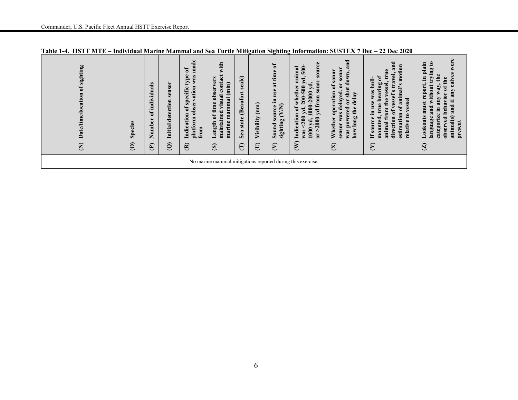| sighting<br>ð<br>Date/time/location<br>Ê | Species<br>$\widehat{\mathbf{C}}$ | als<br>Ë<br>ا الأ<br>indi<br>ð<br>۰<br>Numbe<br>E | ð<br>sens<br>detection<br>Initial<br>$\widehat{Q}$ | made<br>đ<br>type<br>was<br>observation<br>specific<br>$\mathfrak{b}$<br>Indication<br>platform<br>from<br>$\mathbf{g}$ | with<br>contact<br>observers<br>marine mammal (min)<br>visual<br>of time<br>maintained<br>Length<br>$\circledcirc$ | scale)<br>(Beaufort<br>state<br>Sea<br>$\widehat{\Xi}$ | $\binom{mm}{m}$<br>Visibility<br>$\oplus$ | ัธ<br>time<br>$\ddot{a}$<br>use<br>.크<br>$\widehat{\mathsf{K}}$<br>source<br>sighting (Y<br>Sound<br>$\epsilon$ | source<br>animal<br>500<br>$\bullet$<br>Þ,<br>sonar<br>$1000-2000$ yd<br>whether<br>500<br>from<br>$200 -$<br>ъ<br>$\mathbf{d},$<br>$\overline{y}$<br>Indication<br>200<br>2000<br>yd,<br>1000<br>$\alpha$<br>was<br>$\mathcal{E}$ | ರ<br>$\mathbf{\overline{a}}$<br>sonar<br>sonar<br>lown,<br>$\overline{\mathbf{C}}$<br>ರ<br>ð<br>shu<br>$\bullet$<br>operation<br>delayed<br>delay<br>$\overline{\mathbf{c}}$<br>the<br>powered<br>was<br>long<br>Whether<br>sensor<br>how<br>was<br>$\otimes$ | and<br>motion<br>true<br>yel<br>$\mathfrak{b}$<br>$\mathbf{1}$<br>tra<br>animal's<br>vessel<br>e bearing<br>was<br>$\boldsymbol{\omega}$<br>មិ<br>vessel<br>the<br>Ū<br><b>use</b><br>$\bullet$<br>$\mathbf{m}$<br>ð<br>m <sub>0</sub><br>ัธ<br>르.<br>estimation<br>relative to<br>∉<br>source<br>$\overline{5}$<br>mounted<br>animal<br>۴e<br>H<br>渇<br>$\infty$ | were<br>$\boldsymbol{\mathfrak{e}}$<br>plain<br>trying<br>any calves<br>the<br>Ξ.<br>of the<br>must report,<br>$\bullet$<br>without<br>categorize in any way<br>vior<br>H.<br>beha <sup>®</sup><br>and<br>and<br>Lookouts<br>animal(s)<br>language<br>$\mathbf{g}$<br>present<br>ser<br>ۊ<br>$\overline{S}$ |
|------------------------------------------|-----------------------------------|---------------------------------------------------|----------------------------------------------------|-------------------------------------------------------------------------------------------------------------------------|--------------------------------------------------------------------------------------------------------------------|--------------------------------------------------------|-------------------------------------------|-----------------------------------------------------------------------------------------------------------------|------------------------------------------------------------------------------------------------------------------------------------------------------------------------------------------------------------------------------------|---------------------------------------------------------------------------------------------------------------------------------------------------------------------------------------------------------------------------------------------------------------|-------------------------------------------------------------------------------------------------------------------------------------------------------------------------------------------------------------------------------------------------------------------------------------------------------------------------------------------------------------------|-------------------------------------------------------------------------------------------------------------------------------------------------------------------------------------------------------------------------------------------------------------------------------------------------------------|
|                                          |                                   |                                                   |                                                    |                                                                                                                         |                                                                                                                    |                                                        |                                           |                                                                                                                 | No marine mammal mitigations reported during this exercise.                                                                                                                                                                        |                                                                                                                                                                                                                                                               |                                                                                                                                                                                                                                                                                                                                                                   |                                                                                                                                                                                                                                                                                                             |

**Table 1-4. HSTT MTE – Individual Marine Mammal and Sea Turtle Mitigation Sighting Information: SUSTEX 7 Dec – 22 Dec 2020**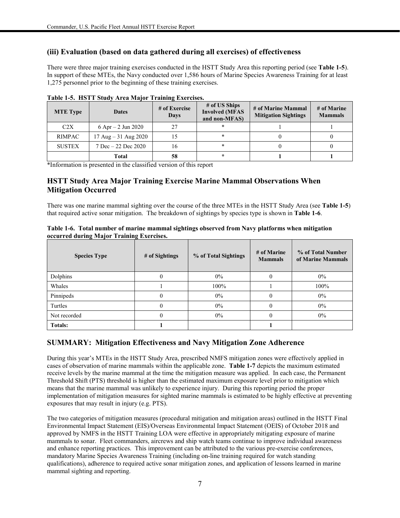### **(iii) Evaluation (based on data gathered during all exercises) of effectiveness**

There were three major training exercises conducted in the HSTT Study Area this reporting period (see **Table 1-5**). In support of these MTEs, the Navy conducted over 1,586 hours of Marine Species Awareness Training for at least 1,275 personnel prior to the beginning of these training exercises.

| <b>MTE</b> Type | <b>Dates</b>             | # of Exercise<br><b>Days</b> | # of US Ships<br><b>Involved (MFAS</b><br>and non-MFAS) | # of Marine Mammal<br><b>Mitigation Sightings</b> | # of Marine<br><b>Mammals</b> |
|-----------------|--------------------------|------------------------------|---------------------------------------------------------|---------------------------------------------------|-------------------------------|
| C2X             | 6 Apr $-2$ Jun 2020      | 27                           |                                                         |                                                   |                               |
| <b>RIMPAC</b>   | 17 Aug $-31$ Aug 2020    |                              |                                                         |                                                   |                               |
| <b>SUSTEX</b>   | $7$ Dec $-22$ Dec $2020$ | 16                           |                                                         |                                                   |                               |
|                 | Total                    | 58                           |                                                         |                                                   |                               |

**Table 1-5. HSTT Study Area Major Training Exercises.**

\*Information is presented in the classified version of this report

### **HSTT Study Area Major Training Exercise Marine Mammal Observations When Mitigation Occurred**

There was one marine mammal sighting over the course of the three MTEs in the HSTT Study Area (see **Table 1-5**) that required active sonar mitigation. The breakdown of sightings by species type is shown in **Table 1-6**.

| Table 1-6. Total number of marine mammal sightings observed from Navy platforms when mitigation |  |  |
|-------------------------------------------------------------------------------------------------|--|--|
| occurred during Major Training Exercises.                                                       |  |  |

| <b>Species Type</b> | # of Sightings | % of Total Sightings | # of Marine<br><b>Mammals</b> | % of Total Number<br>of Marine Mammals |
|---------------------|----------------|----------------------|-------------------------------|----------------------------------------|
| Dolphins            | U              | $0\%$                |                               | $0\%$                                  |
| Whales              |                | 100%                 |                               | 100%                                   |
| Pinnipeds           |                | $0\%$                | $\Omega$                      | 0%                                     |
| Turtles             |                | $0\%$                |                               | $0\%$                                  |
| Not recorded        |                | $0\%$                |                               | $0\%$                                  |
| <b>Totals:</b>      |                |                      |                               |                                        |

### **SUMMARY: Mitigation Effectiveness and Navy Mitigation Zone Adherence**

During this year's MTEs in the HSTT Study Area, prescribed NMFS mitigation zones were effectively applied in cases of observation of marine mammals within the applicable zone. **Table 1-7** depicts the maximum estimated receive levels by the marine mammal at the time the mitigation measure was applied. In each case, the Permanent Threshold Shift (PTS) threshold is higher than the estimated maximum exposure level prior to mitigation which means that the marine mammal was unlikely to experience injury. During this reporting period the proper implementation of mitigation measures for sighted marine mammals is estimated to be highly effective at preventing exposures that may result in injury (e.g. PTS).

The two categories of mitigation measures (procedural mitigation and mitigation areas) outlined in the HSTT Final Environmental Impact Statement (EIS)/Overseas Environmental Impact Statement (OEIS) of October 2018 and approved by NMFS in the HSTT Training LOA were effective in appropriately mitigating exposure of marine mammals to sonar. Fleet commanders, aircrews and ship watch teams continue to improve individual awareness and enhance reporting practices. This improvement can be attributed to the various pre-exercise conferences, mandatory Marine Species Awareness Training (including on-line training required for watch standing qualifications), adherence to required active sonar mitigation zones, and application of lessons learned in marine mammal sighting and reporting.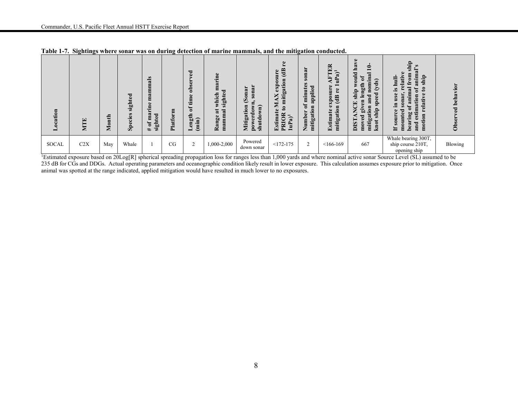| ocation<br>━ | $\mathbf{E}$<br>NΤ | €<br>Ξ<br>$\overline{\mathbf{M}}$ | $\mathbf{E}$<br>nigh<br>ies<br>ဥ<br>န္တ | als<br>Ξ<br>GJ.<br>E<br>$\bullet$<br>Έ<br>$\approx$<br>ted<br>8<br>sight<br>đ<br># | Ξ<br><b>Platfor</b> | $\mathbf{g}$<br>obser<br>time<br>ъ<br>ength<br>(imin)<br>▬ | marine<br>τ<br>which<br>۴ē<br>sigh<br>$\overline{\mathbf{a}}$<br>ನ<br>E<br>Range<br>Ε<br>$\mathbf{m}$ | sonar<br>$_{0}$ nar<br>Q<br>Ξ<br>Mitigation<br>$\widehat{\mathbf{a}}$<br>erdow<br>Ō<br>ਤ<br>pow<br>shu | $\bullet$<br>$\frac{a}{b}$<br>$\omega$<br>mitigation<br>ਸ਼ਿ<br>$\omega$<br>×<br>⋍<br>$\boldsymbol{\mathsf{s}}$<br>$\bullet$<br>$\overline{\mathbf{a}}$<br>ିକ<br>$\ddot{s}$<br>PRI<br>Ê<br>$\mathbf{r}$ | 2<br>$\overline{\textbf{s}}$ on<br>nutes<br>applied<br>Ē<br>ð<br>mitigation<br>Number | ER<br>$\overline{a}$<br>Œ,<br>Ê<br>$\omega$<br>exposur<br>£<br>$\overline{d}$<br>mitigation<br>Estimate | d.<br>$\overline{\mathbf{a}}$<br>≘<br>ರ<br>nal<br>Ē<br>5<br>ត<br>Ε<br>€<br>$\mathbf{S}$<br>$\bullet$<br>ηg<br>$\bullet$<br>Ë<br>$\bf g$<br>≌<br>ᇰ<br>$\mathbf{\tilde{p}}$<br>ā<br>띌<br><b>R</b><br>ğīy<br>ion<br>ship<br>Z<br>$_{\rm{moved}}$<br>tiga<br><b>TSIO</b><br>knot<br>Ē | ship<br>$\bullet$<br>$\overline{\mathbf{a}}$<br>ship<br>ಷ<br>ക<br>ន<br>ಡ<br>$\cdot^{\circ}$<br>t<br>im<br>elative<br>nar<br>$\mathbf{u}$<br>0<br>ω<br>$\bf \Xi$<br>ы<br>motion<br>흥<br>bea<br>and<br>ε<br>≒ | vior<br>뒹<br>ء<br>ಕ<br>ට් |
|--------------|--------------------|-----------------------------------|-----------------------------------------|------------------------------------------------------------------------------------|---------------------|------------------------------------------------------------|-------------------------------------------------------------------------------------------------------|--------------------------------------------------------------------------------------------------------|--------------------------------------------------------------------------------------------------------------------------------------------------------------------------------------------------------|---------------------------------------------------------------------------------------|---------------------------------------------------------------------------------------------------------|-----------------------------------------------------------------------------------------------------------------------------------------------------------------------------------------------------------------------------------------------------------------------------------|-------------------------------------------------------------------------------------------------------------------------------------------------------------------------------------------------------------|---------------------------|
| <b>SOCAL</b> | C2X                | May                               | Whale                                   |                                                                                    | CG                  | $\overline{2}$                                             | 1,000-2,000                                                                                           | Powered<br>down sonar                                                                                  | $<172-175$                                                                                                                                                                                             | 2                                                                                     | $< 166 - 169$                                                                                           | 667                                                                                                                                                                                                                                                                               | Whale bearing 300T,<br>ship course 210T,<br>opening ship                                                                                                                                                    | Blowing                   |

**Table 1-7. Sightings where sonar was on during detection of marine mammals, and the mitigation conducted.**

<sup>1</sup>Estimated exposure based on 20Log[R] spherical spreading propagation loss for ranges less than 1,000 yards and where nominal active sonar Source Level (SL) assumed to be 235 dB for CGs and DDGs. Actual operating parameters and oceanographic condition likely result in lower exposure. This calculation assumes exposure prior to mitigation. Once animal was spotted at the range indicated, applied mitigation would have resulted in much lower to no exposures.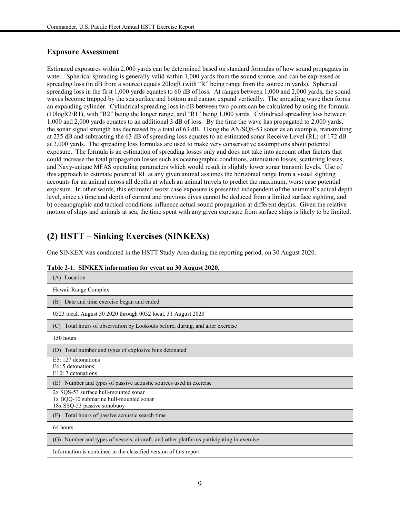### **Exposure Assessment**

Estimated exposures within 2,000 yards can be determined based on standard formulas of how sound propagates in water. Spherical spreading is generally valid within 1,000 yards from the sound source, and can be expressed as spreading loss (in dB from a source) equals 20logR (with "R" being range from the source in yards). Spherical spreading loss in the first 1,000 yards equates to 60 dB of loss. At ranges between 1,000 and 2,000 yards, the sound waves become trapped by the sea surface and bottom and cannot expand vertically. The spreading wave then forms an expanding cylinder. Cylindrical spreading loss in dB between two points can be calculated by using the formula (10logR2/R1), with "R2" being the longer range, and "R1" being 1,000 yards. Cylindrical spreading loss between 1,000 and 2,000 yards equates to an additional 3 dB of loss. By the time the wave has propagated to 2,000 yards, the sonar signal strength has decreased by a total of 63 dB. Using the AN/SQS-53 sonar as an example, transmitting at 235 dB and subtracting the 63 dB of spreading loss equates to an estimated sonar Receive Level (RL) of 172 dB at 2,000 yards. The spreading loss formulas are used to make very conservative assumptions about potential exposure. The formula is an estimation of spreading losses only and does not take into account other factors that could increase the total propagation losses such as oceanographic conditions, attenuation losses, scattering losses, and Navy-unique MFAS operating parameters which would result in slightly lower sonar transmit levels. Use of this approach to estimate potential RL at any given animal assumes the horizontal range from a visual sighting accounts for an animal across all depths at which an animal travels to predict the maximum, worst case potential exposure. In other words, this estimated worst case exposure is presented independent of the animmal's actual depth level, since a) time and depth of current and previous dives cannot be deduced from a limited surface sighting, and b) oceanographic and tactical conditions influence actual sound propagation at different depths. Given the relative motion of ships and animals at sea, the time spent with any given exposure from surface ships is likely to be limited.

### **(2) HSTT – Sinking Exercises (SINKEXs)**

One SINKEX was conducted in the HSTT Study Area during the reporting period, on 30 August 2020.

| (A) Location                                                                                                  |
|---------------------------------------------------------------------------------------------------------------|
| Hawaii Range Complex                                                                                          |
| (B) Date and time exercise began and ended                                                                    |
| 0523 local, August 30 2020 through 0032 local, 31 August 2020                                                 |
| (C) Total hours of observation by Lookouts before, during, and after exercise                                 |
| 150 hours                                                                                                     |
| (D) Total number and types of explosive bins detonated                                                        |
| E5: 127 detonations<br>E6: 5 detonations<br>E10: 7 detonations                                                |
| Number and types of passive acoustic sources used in exercise<br>(E)                                          |
| 2x SQS-53 surface hull-mounted sonar<br>1x BQQ-10 submarine hull-mounted sonar<br>18x SSQ-53 passive sonobuoy |
| Total hours of passive acoustic search time<br>(F)                                                            |
| 64 hours                                                                                                      |
| (G) Number and types of vessels, aircraft, and other platforms participating in exercise                      |
| Information is contained in the classified version of this report                                             |

|  | Table 2-1. SINKEX information for event on 30 August 2020. |  |  |
|--|------------------------------------------------------------|--|--|
|  |                                                            |  |  |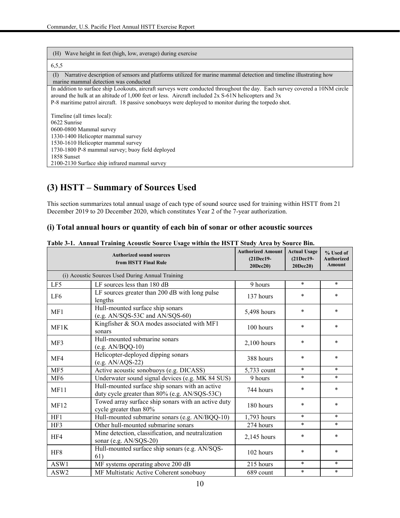| (H) Wave height in feet (high, low, average) during exercise                                                                                                                                                                                                                                                                               |
|--------------------------------------------------------------------------------------------------------------------------------------------------------------------------------------------------------------------------------------------------------------------------------------------------------------------------------------------|
| 6,5,5                                                                                                                                                                                                                                                                                                                                      |
| Narrative description of sensors and platforms utilized for marine mammal detection and timeline illustrating how<br>(I)<br>marine mammal detection was conducted                                                                                                                                                                          |
| In addition to surface ship Lookouts, aircraft surveys were conducted throughout the day. Each survey covered a 10NM circle<br>around the hulk at an altitude of 1,000 feet or less. Aircraft included 2x S-61N helicopters and 3x<br>P-8 maritime patrol aircraft. 18 passive sonobuoys were deployed to monitor during the torpedo shot. |
| Timeline (all times local):                                                                                                                                                                                                                                                                                                                |
| 0622 Sunrise                                                                                                                                                                                                                                                                                                                               |
| 0600-0800 Mammal survey                                                                                                                                                                                                                                                                                                                    |
| 1330-1400 Helicopter mammal survey                                                                                                                                                                                                                                                                                                         |
| 1530-1610 Helicopter mammal survey                                                                                                                                                                                                                                                                                                         |
| 1730-1800 P-8 mammal survey; buoy field deployed                                                                                                                                                                                                                                                                                           |
| 1858 Sunset                                                                                                                                                                                                                                                                                                                                |
| 2100-2130 Surface ship infrared mammal survey                                                                                                                                                                                                                                                                                              |

### **(3) HSTT – Summary of Sources Used**

This section summarizes total annual usage of each type of sound source used for training within HSTT from 21 December 2019 to 20 December 2020, which constitutes Year 2 of the 7-year authorization.

### **(i) Total annual hours or quantity of each bin of sonar or other acoustic sources**

|                 | <b>Authorized sound sources</b><br>from HSTT Final Rule                                          | <b>Authorized Amount</b><br>(21Dec19-<br>20Dec20) | <b>Actual Usage</b><br>(21Dec19-<br>20Dec20) | % Used of<br><b>Authorized</b><br>Amount |
|-----------------|--------------------------------------------------------------------------------------------------|---------------------------------------------------|----------------------------------------------|------------------------------------------|
|                 | (i) Acoustic Sources Used During Annual Training                                                 |                                                   |                                              |                                          |
| LF5             | LF sources less than $180$ dB                                                                    | 9 hours                                           | $\ast$                                       | $\ast$                                   |
| LF <sub>6</sub> | LF sources greater than 200 dB with long pulse<br>lengths                                        | 137 hours                                         | $\ast$                                       | $\ast$                                   |
| MF1             | Hull-mounted surface ship sonars<br>(e.g. AN/SQS-53C and AN/SQS-60)                              | 5,498 hours                                       | $\ast$                                       | $\ast$                                   |
| MF1K            | Kingfisher & SOA modes associated with MF1<br>sonars                                             | 100 hours                                         | $\ast$                                       | $\ast$                                   |
| MF3             | Hull-mounted submarine sonars<br>$(e.g. AN/BQQ-10)$                                              | $2,100$ hours                                     | $\ast$                                       | $\ast$                                   |
| MF4             | Helicopter-deployed dipping sonars<br>$(e.g. AN/AQS-22)$                                         | 388 hours                                         | $\ast$                                       | $\ast$                                   |
| MF5             | Active acoustic sonobuoys (e.g. DICASS)                                                          | 5,733 count                                       | $\ast$                                       | $\ast$                                   |
| MF <sub>6</sub> | Underwater sound signal devices (e.g. MK 84 SUS)                                                 | 9 hours                                           | $\ast$                                       | $\ast$                                   |
| MF11            | Hull-mounted surface ship sonars with an active<br>duty cycle greater than 80% (e.g. AN/SQS-53C) | 744 hours                                         | $\ast$                                       | $\ast$                                   |
| <b>MF12</b>     | Towed array surface ship sonars with an active duty<br>cycle greater than 80%                    | 180 hours                                         | $\ast$                                       | $\ast$                                   |
| HF1             | Hull-mounted submarine sonars (e.g. AN/BQQ-10)                                                   | 1,793 hours                                       | $\ast$                                       | $\ast$                                   |
| HF3             | Other hull-mounted submarine sonars                                                              | 274 hours                                         | $\ast$                                       | $\ast$                                   |
| HF4             | Mine detection, classification, and neutralization<br>sonar (e.g. AN/SQS-20)                     | $2,145$ hours                                     | $\ast$                                       | $\ast$                                   |
| HF8             | Hull-mounted surface ship sonars (e.g. AN/SQS-<br>61)                                            | 102 hours                                         | $\ast$                                       | $\ast$                                   |
| ASW1            | MF systems operating above 200 dB                                                                | 215 hours                                         | $\ast$                                       | $\ast$                                   |
| ASW2            | MF Multistatic Active Coherent sonobuoy                                                          | 689 count                                         | $\ast$                                       | $\ast$                                   |

#### **Table 3-1. Annual Training Acoustic Source Usage within the HSTT Study Area by Source Bin.**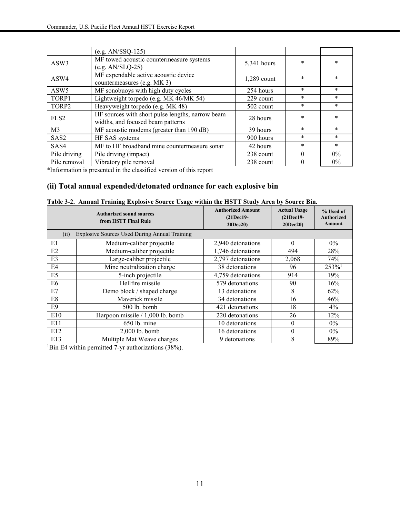|                  | $(e.g. AN/SSQ-125)$                                                                   |               |          |        |
|------------------|---------------------------------------------------------------------------------------|---------------|----------|--------|
| ASW3             | MF towed acoustic countermeasure systems<br>$(e.g. AN/SLQ-25)$                        | 5,341 hours   | $\ast$   | $\ast$ |
| ASW4             | MF expendable active acoustic device<br>countermeasures (e.g. MK 3)                   | $1,289$ count | $\ast$   | $\ast$ |
| ASW <sub>5</sub> | MF sonobuoys with high duty cycles                                                    | 254 hours     | $\ast$   | $\ast$ |
| TORP1            | Lightweight torpedo (e.g. MK 46/MK 54)                                                | 229 count     | $\ast$   | $\ast$ |
| TORP2            | Heavyweight torpedo (e.g. MK 48)                                                      | 502 count     | $\ast$   | $\ast$ |
| FLS <sub>2</sub> | HF sources with short pulse lengths, narrow beam<br>widths, and focused beam patterns | 28 hours      | $\ast$   | $\ast$ |
| M <sub>3</sub>   | MF acoustic modems (greater than 190 dB)                                              | 39 hours      | $\ast$   | $\ast$ |
| SAS <sub>2</sub> | HF SAS systems                                                                        | 900 hours     | $\ast$   | $\ast$ |
| SAS4             | MF to HF broadband mine countermeasure sonar                                          | 42 hours      | $\ast$   | $\ast$ |
| Pile driving     | Pile driving (impact)                                                                 | 238 count     | $\Omega$ | $0\%$  |
| Pile removal     | Vibratory pile removal                                                                | 238 count     | $\Omega$ | $0\%$  |

\*Information is presented in the classified version of this report

### **(ii) Total annual expended/detonated ordnance for each explosive bin**

| <b>Authorized sound sources</b><br>from HSTT Final Rule |                                               | <b>Authorized Amount</b><br>(21Dec19-<br>20Dec20) | <b>Actual Usage</b><br>$(21$ Dec $19-$<br>20Dec20 | % Used of<br><b>Authorized</b><br>Amount |
|---------------------------------------------------------|-----------------------------------------------|---------------------------------------------------|---------------------------------------------------|------------------------------------------|
| (ii)                                                    | Explosive Sources Used During Annual Training |                                                   |                                                   |                                          |
| E1                                                      | Medium-caliber projectile                     | 2,940 detonations                                 | $\Omega$                                          | $0\%$                                    |
| E2                                                      | Medium-caliber projectile                     | 1,746 detonations                                 | 494                                               | 28%                                      |
| E3                                                      | Large-caliber projectile                      | 2,797 detonations                                 | 2,068                                             | 74%                                      |
| E4                                                      | Mine neutralization charge                    | 38 detonations                                    | 96                                                | $253\%$ <sup>1</sup>                     |
| E5                                                      | 5-inch projectile                             | 4,759 detonations                                 | 914                                               | 19%                                      |
| E6                                                      | Hellfire missile                              | 579 detonations                                   | 90                                                | 16%                                      |
| E7                                                      | Demo block / shaped charge                    | 13 detonations                                    | 8                                                 | 62%                                      |
| E8                                                      | Maverick missile                              | 34 detonations                                    | 16                                                | 46%                                      |
| E9                                                      | 500 lb. bomb                                  | 421 detonations                                   | 18                                                | $4\%$                                    |
| E10                                                     | Harpoon missile / 1,000 lb. bomb              | 220 detonations                                   | 26                                                | 12%                                      |
| E11                                                     | 650 lb. mine                                  | 10 detonations                                    | $\theta$                                          | $0\%$                                    |
| E12                                                     | $2,000$ lb. bomb                              | 16 detonations                                    | $\theta$                                          | $0\%$                                    |
| E13                                                     | Multiple Mat Weave charges                    | 9 detonations                                     | 8                                                 | 89%                                      |

|  |  |  | Table 3-2. Annual Training Explosive Source Usage within the HSTT Study Area by Source Bin. |  |  |  |
|--|--|--|---------------------------------------------------------------------------------------------|--|--|--|
|--|--|--|---------------------------------------------------------------------------------------------|--|--|--|

<sup>1</sup>Bin E4 within permitted 7-yr authorizations (38%).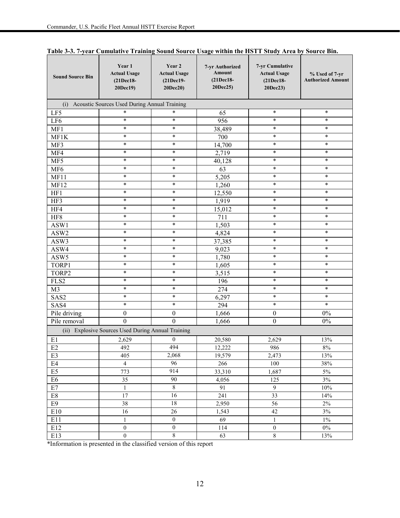| <b>Sound Source Bin</b> | Year 1<br><b>Actual Usage</b><br>(21Dec18-<br>20Dec19) | Year 2<br><b>Actual Usage</b><br>(21Dec19-<br>20Dec20) | 7-yr Authorized<br>Amount<br>(21Dec18-<br>20Dec25) | 7-yr Cumulative<br><b>Actual Usage</b><br>(21Dec18-<br>20Dec23) | % Used of 7-yr<br><b>Authorized Amount</b> |
|-------------------------|--------------------------------------------------------|--------------------------------------------------------|----------------------------------------------------|-----------------------------------------------------------------|--------------------------------------------|
|                         | (i) Acoustic Sources Used During Annual Training       |                                                        |                                                    |                                                                 |                                            |
| LF5                     | $\ast$                                                 | $\ast$                                                 | 65                                                 | $\ast$                                                          | $\ast$                                     |
| LF6                     | $\ast$                                                 | $\ast$                                                 | 956                                                | $\ast$                                                          | $\ast$                                     |
| MF1                     | $\ast$                                                 | $\ast$                                                 | 38,489                                             | $\ast$                                                          | ∗                                          |
| MF1K                    | $\ast$                                                 | $\ast$                                                 | 700                                                | $\ast$                                                          | ∗                                          |
| MF3                     | $\ast$                                                 | $\ast$                                                 | 14,700                                             | $\ast$                                                          | $\ast$                                     |
| MF4                     | $\ast$                                                 | $\ast$                                                 | 2,719                                              | $\ast$                                                          | $\ast$                                     |
| MF5                     | $\ast$                                                 | $\ast$                                                 | 40,128                                             | $\ast$                                                          | $\ast$                                     |
| MF <sub>6</sub>         | $\ast$                                                 | $\ast$                                                 | 63                                                 | $\ast$                                                          | $\ast$                                     |
| MF11                    | $\ast$                                                 | $\ast$                                                 | 5,205                                              | $\ast$                                                          | ∗                                          |
| <b>MF12</b>             | $\ast$                                                 | $\ast$                                                 | 1,260                                              | $\ast$                                                          | $\ast$                                     |
| HF1                     | $\ast$                                                 | $\ast$                                                 | 12,550                                             | $\ast$                                                          | $\ast$                                     |
| HF3                     | $\ast$                                                 | $\ast$                                                 | 1,919                                              | $\ast$                                                          | $\ast$                                     |
| HF4                     | $\ast$                                                 | $\ast$                                                 | 15,012                                             | $\ast$                                                          | $\ast$                                     |
| HF8                     | $\ast$                                                 | $\ast$                                                 | 711                                                | $\ast$                                                          | $\ast$                                     |
| ASW1                    | $\ast$                                                 | $\ast$                                                 | 1,503                                              | $\ast$                                                          | ∗                                          |
| ASW2                    | $\ast$                                                 | $\ast$                                                 | 4,824                                              | $\ast$                                                          | ∗                                          |
| ASW3                    | $\ast$                                                 | $\ast$                                                 | 37,385                                             | $\ast$                                                          | $\ast$                                     |
| ASW4                    | $\ast$                                                 | $\ast$                                                 | 9,023                                              | $\ast$                                                          | $\ast$                                     |
| ASW5                    | $\ast$                                                 | $\ast$                                                 | 1,780                                              | $\ast$                                                          | $\ast$                                     |
| TORP1                   | $\ast$                                                 | $\ast$                                                 | 1,605                                              | $\ast$                                                          | $\ast$                                     |
| TORP2                   | $\ast$                                                 | ∗                                                      | 3,515                                              | $\ast$                                                          | ∗                                          |
| FLS2                    | $\ast$                                                 | $\ast$                                                 | 196                                                | $\ast$                                                          | $\ast$                                     |
| M <sub>3</sub>          | $\ast$                                                 | $\ast$                                                 | 274                                                | $\ast$                                                          | $\ast$                                     |
| SAS2                    | $\ast$                                                 | $\ast$                                                 | 6,297                                              | $\ast$                                                          | $\ast$                                     |
| SAS4                    | $\ast$                                                 | $\ast$                                                 | 294                                                | $\ast$                                                          | $\ast$                                     |
| Pile driving            | $\boldsymbol{0}$                                       | $\boldsymbol{0}$                                       | 1,666                                              | $\boldsymbol{0}$                                                | $0\%$                                      |
| Pile removal            | $\theta$                                               | $\theta$                                               | 1,666                                              | $\boldsymbol{0}$                                                | $0\%$                                      |
|                         | (ii) Explosive Sources Used During Annual Training     |                                                        |                                                    |                                                                 |                                            |
| E1                      | 2,629                                                  | $\boldsymbol{0}$                                       | 20,580                                             | 2,629                                                           | 13%                                        |
| E2                      | 492                                                    | 494                                                    | 12,222                                             | 986                                                             | $8\%$                                      |
| E <sub>3</sub>          | 405                                                    | 2,068                                                  | 19,579                                             | 2,473                                                           | 13%                                        |
| E4                      | $\overline{4}$                                         | 96                                                     | 266                                                | 100                                                             | 38%                                        |
| E <sub>5</sub>          | 773                                                    | 914                                                    | 33,310                                             | 1,687                                                           | 5%                                         |
| E <sub>6</sub>          | 35                                                     | 90                                                     | 4,056                                              | 125                                                             | $3\%$                                      |
| E7                      | $\,1$                                                  | $\overline{8}$                                         | 91                                                 | 9                                                               | $10\%$                                     |
| $\rm E8$                | 17                                                     | 16                                                     | 241                                                | 33                                                              | 14%                                        |
| E <sub>9</sub>          | 38                                                     | 18                                                     | 2,950                                              | 56                                                              | $2\%$                                      |
| E10                     | 16                                                     | 26                                                     | 1,543                                              | 42                                                              | 3%                                         |
| E11                     | $\mathbf{1}$                                           | $\boldsymbol{0}$                                       | 69                                                 | $\mathbf{1}$                                                    | $1\%$                                      |
| E12                     | $\boldsymbol{0}$                                       | $\boldsymbol{0}$                                       | 114                                                | $\boldsymbol{0}$                                                | $0\%$                                      |
| E13                     | $\boldsymbol{0}$                                       | $\sqrt{8}$                                             | 63                                                 | $8\,$                                                           | 13%                                        |

**Table 3-3. 7-year Cumulative Training Sound Source Usage within the HSTT Study Area by Source Bin.**

\*Information is presented in the classified version of this report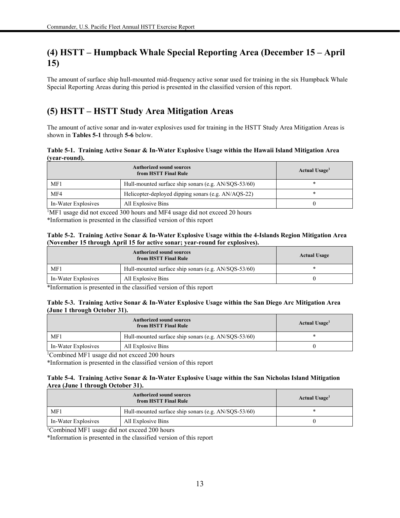### **(4) HSTT – Humpback Whale Special Reporting Area (December 15 – April 15)**

The amount of surface ship hull-mounted mid-frequency active sonar used for training in the six Humpback Whale Special Reporting Areas during this period is presented in the classified version of this report.

### **(5) HSTT – HSTT Study Area Mitigation Areas**

The amount of active sonar and in-water explosives used for training in the HSTT Study Area Mitigation Areas is shown in **Tables 5-1** through **5-6** below.

**Table 5-1. Training Active Sonar & In-Water Explosive Usage within the Hawaii Island Mitigation Area (year-round).**

|                     | Actual Usage <sup>1</sup>                            |   |
|---------------------|------------------------------------------------------|---|
| MF1                 | Hull-mounted surface ship sonars (e.g. AN/SQS-53/60) |   |
| MF4                 | Helicopter-deployed dipping sonars (e.g. AN/AQS-22)  | * |
| In-Water Explosives | All Explosive Bins                                   |   |

<sup>1</sup>MF1 usage did not exceed 300 hours and MF4 usage did not exceed 20 hours

\*Information is presented in the classified version of this report

#### **Table 5-2. Training Active Sonar & In-Water Explosive Usage within the 4-Islands Region Mitigation Area (November 15 through April 15 for active sonar; year-round for explosives).**

| <b>Authorized sound sources</b><br>from HSTT Final Rule |                                                      | <b>Actual Usage</b> |
|---------------------------------------------------------|------------------------------------------------------|---------------------|
| MF1                                                     | Hull-mounted surface ship sonars (e.g. AN/SQS-53/60) |                     |
| In-Water Explosives                                     | All Explosive Bins                                   |                     |

\*Information is presented in the classified version of this report

#### **Table 5-3. Training Active Sonar & In-Water Explosive Usage within the San Diego Arc Mitigation Area (June 1 through October 31).**

| <b>Authorized sound sources</b><br>from HSTT Final Rule |                                                      | Actual Usage <sup>1</sup> |
|---------------------------------------------------------|------------------------------------------------------|---------------------------|
| MF1                                                     | Hull-mounted surface ship sonars (e.g. AN/SQS-53/60) |                           |
| In-Water Explosives<br>All Explosive Bins               |                                                      |                           |

1 Combined MF1 usage did not exceed 200 hours

\*Information is presented in the classified version of this report

#### **Table 5-4. Training Active Sonar & In-Water Explosive Usage within the San Nicholas Island Mitigation Area (June 1 through October 31).**

| <b>Authorized sound sources</b><br>from HSTT Final Rule |                                                      | Actual Usage <sup>1</sup> |
|---------------------------------------------------------|------------------------------------------------------|---------------------------|
| MF1                                                     | Hull-mounted surface ship sonars (e.g. AN/SOS-53/60) |                           |
| In-Water Explosives                                     | All Explosive Bins                                   |                           |
| .<br>.<br>.                                             | $\cdots$                                             |                           |

<sup>1</sup>Combined MF1 usage did not exceed 200 hours

\*Information is presented in the classified version of this report